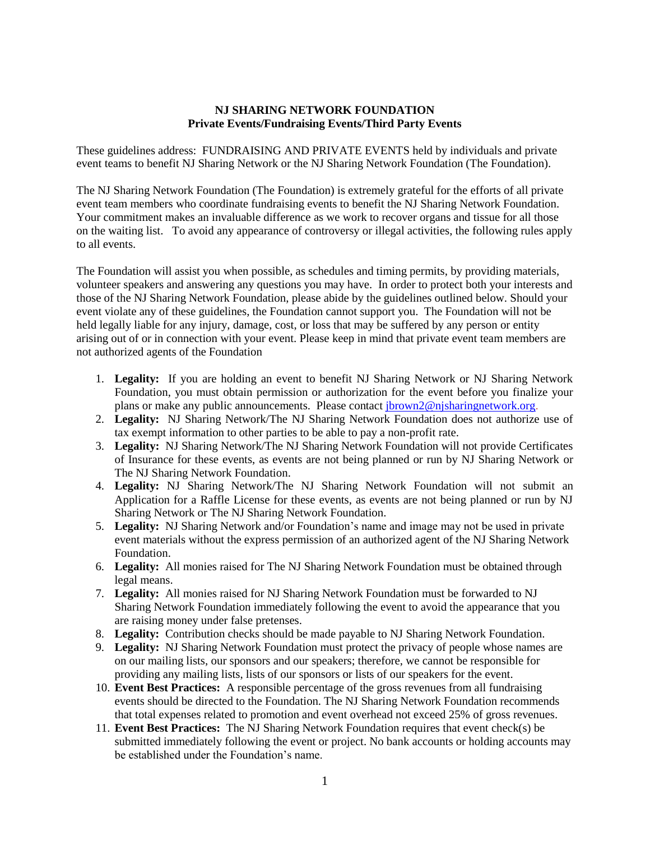## **NJ SHARING NETWORK FOUNDATION Private Events/Fundraising Events/Third Party Events**

These guidelines address: FUNDRAISING AND PRIVATE EVENTS held by individuals and private event teams to benefit NJ Sharing Network or the NJ Sharing Network Foundation (The Foundation).

The NJ Sharing Network Foundation (The Foundation) is extremely grateful for the efforts of all private event team members who coordinate fundraising events to benefit the NJ Sharing Network Foundation. Your commitment makes an invaluable difference as we work to recover organs and tissue for all those on the waiting list. To avoid any appearance of controversy or illegal activities, the following rules apply to all events.

The Foundation will assist you when possible, as schedules and timing permits, by providing materials, volunteer speakers and answering any questions you may have. In order to protect both your interests and those of the NJ Sharing Network Foundation, please abide by the guidelines outlined below. Should your event violate any of these guidelines, the Foundation cannot support you. The Foundation will not be held legally liable for any injury, damage, cost, or loss that may be suffered by any person or entity arising out of or in connection with your event. Please keep in mind that private event team members are not authorized agents of the Foundation

- 1. **Legality:** If you are holding an event to benefit NJ Sharing Network or NJ Sharing Network Foundation, you must obtain permission or authorization for the event before you finalize your plans or make any public announcements. Please contact [jbrown2@njsharingnetwork.org.](mailto:jbrown2@njsharingnetwork.org)
- 2. **Legality:** NJ Sharing Network/The NJ Sharing Network Foundation does not authorize use of tax exempt information to other parties to be able to pay a non-profit rate.
- 3. **Legality:** NJ Sharing Network/The NJ Sharing Network Foundation will not provide Certificates of Insurance for these events, as events are not being planned or run by NJ Sharing Network or The NJ Sharing Network Foundation.
- 4. **Legality:** NJ Sharing Network/The NJ Sharing Network Foundation will not submit an Application for a Raffle License for these events, as events are not being planned or run by NJ Sharing Network or The NJ Sharing Network Foundation.
- 5. **Legality:** NJ Sharing Network and/or Foundation's name and image may not be used in private event materials without the express permission of an authorized agent of the NJ Sharing Network Foundation.
- 6. **Legality:** All monies raised for The NJ Sharing Network Foundation must be obtained through legal means.
- 7. **Legality:** All monies raised for NJ Sharing Network Foundation must be forwarded to NJ Sharing Network Foundation immediately following the event to avoid the appearance that you are raising money under false pretenses.
- 8. **Legality:** Contribution checks should be made payable to NJ Sharing Network Foundation.
- 9. **Legality:** NJ Sharing Network Foundation must protect the privacy of people whose names are on our mailing lists, our sponsors and our speakers; therefore, we cannot be responsible for providing any mailing lists, lists of our sponsors or lists of our speakers for the event.
- 10. **Event Best Practices:** A responsible percentage of the gross revenues from all fundraising events should be directed to the Foundation. The NJ Sharing Network Foundation recommends that total expenses related to promotion and event overhead not exceed 25% of gross revenues.
- 11. **Event Best Practices:** The NJ Sharing Network Foundation requires that event check(s) be submitted immediately following the event or project. No bank accounts or holding accounts may be established under the Foundation's name.